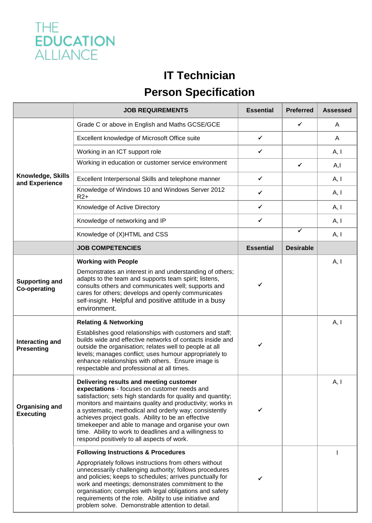

## **IT Technician Person Specification**

|                                              | <b>JOB REQUIREMENTS</b>                                                                                                                                                                                                                                                                                                                                                                                                                                                                             | <b>Essential</b> | <b>Preferred</b> | <b>Assessed</b> |
|----------------------------------------------|-----------------------------------------------------------------------------------------------------------------------------------------------------------------------------------------------------------------------------------------------------------------------------------------------------------------------------------------------------------------------------------------------------------------------------------------------------------------------------------------------------|------------------|------------------|-----------------|
| Knowledge, Skills<br>and Experience          | Grade C or above in English and Maths GCSE/GCE                                                                                                                                                                                                                                                                                                                                                                                                                                                      |                  | ✓                | A               |
|                                              | Excellent knowledge of Microsoft Office suite                                                                                                                                                                                                                                                                                                                                                                                                                                                       | $\checkmark$     |                  | A               |
|                                              | Working in an ICT support role                                                                                                                                                                                                                                                                                                                                                                                                                                                                      | ✓                |                  | A, I            |
|                                              | Working in education or customer service environment                                                                                                                                                                                                                                                                                                                                                                                                                                                |                  | ✓                | A, I            |
|                                              | Excellent Interpersonal Skills and telephone manner                                                                                                                                                                                                                                                                                                                                                                                                                                                 | $\checkmark$     |                  | A, I            |
|                                              | Knowledge of Windows 10 and Windows Server 2012<br>$R2+$                                                                                                                                                                                                                                                                                                                                                                                                                                            | ✓                |                  | A, I            |
|                                              | Knowledge of Active Directory                                                                                                                                                                                                                                                                                                                                                                                                                                                                       | $\checkmark$     |                  | A, I            |
|                                              | Knowledge of networking and IP                                                                                                                                                                                                                                                                                                                                                                                                                                                                      | $\checkmark$     |                  | A, I            |
|                                              | Knowledge of (X)HTML and CSS                                                                                                                                                                                                                                                                                                                                                                                                                                                                        |                  | ✔                | A, I            |
|                                              | <b>JOB COMPETENCIES</b>                                                                                                                                                                                                                                                                                                                                                                                                                                                                             | <b>Essential</b> | <b>Desirable</b> |                 |
| <b>Supporting and</b><br><b>Co-operating</b> | <b>Working with People</b><br>Demonstrates an interest in and understanding of others;<br>adapts to the team and supports team spirit; listens,<br>consults others and communicates well; supports and<br>cares for others; develops and openly communicates<br>self-insight. Helpful and positive attitude in a busy<br>environment.                                                                                                                                                               | ✓                |                  | A, I            |
| Interacting and<br><b>Presenting</b>         | <b>Relating &amp; Networking</b><br>Establishes good relationships with customers and staff;<br>builds wide and effective networks of contacts inside and<br>outside the organisation; relates well to people at all<br>levels; manages conflict; uses humour appropriately to<br>enhance relationships with others. Ensure image is<br>respectable and professional at all times.                                                                                                                  | ✓                |                  | A, I            |
| <b>Organising and</b><br><b>Executing</b>    | Delivering results and meeting customer<br>expectations - focuses on customer needs and<br>satisfaction; sets high standards for quality and quantity;<br>monitors and maintains quality and productivity; works in<br>a systematic, methodical and orderly way; consistently<br>achieves project goals. Ability to be an effective<br>timekeeper and able to manage and organise your own<br>time. Ability to work to deadlines and a willingness to<br>respond positively to all aspects of work. | ✔                |                  | A, I            |
|                                              | <b>Following Instructions &amp; Procedures</b><br>Appropriately follows instructions from others without<br>unnecessarily challenging authority; follows procedures<br>and policies; keeps to schedules; arrives punctually for<br>work and meetings; demonstrates commitment to the<br>organisation; complies with legal obligations and safety<br>requirements of the role. Ability to use initiative and<br>problem solve. Demonstrable attention to detail.                                     |                  |                  |                 |